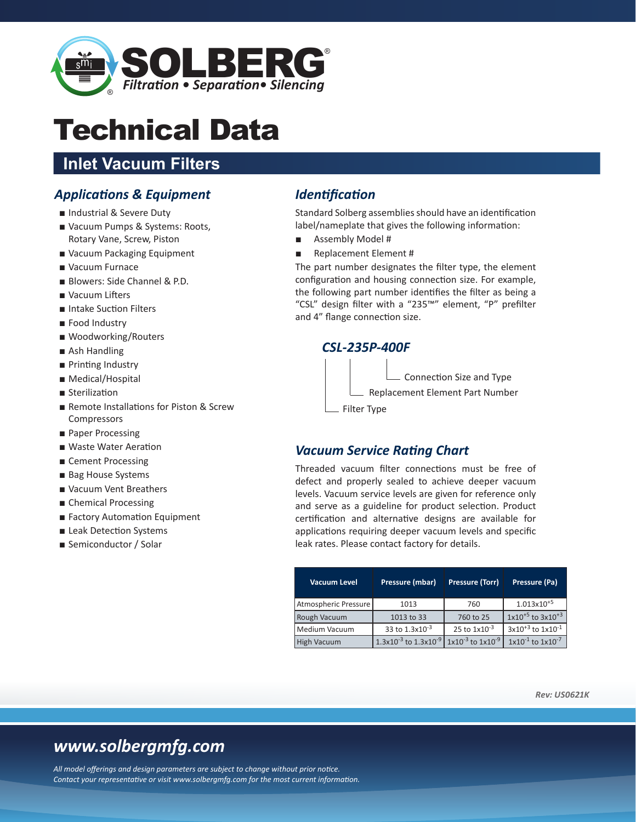

# Technical Data

## **Inlet Vacuum Filters**

## *Applications & Equipment*

- Industrial & Severe Duty
- Vacuum Pumps & Systems: Roots, Rotary Vane, Screw, Piston
- Vacuum Packaging Equipment
- Vacuum Furnace
- Blowers: Side Channel & P.D.
- Vacuum Lifters
- Intake Suction Filters
- Food Industry
- Woodworking/Routers
- Ash Handling
- Printing Industry
- Medical/Hospital
- Sterilization
- Remote Installations for Piston & Screw Compressors
- Paper Processing
- Waste Water Aeration
- Cement Processing
- Bag House Systems
- Vacuum Vent Breathers
- Chemical Processing
- Factory Automation Equipment
- Leak Detection Systems
- Semiconductor / Solar

## *Identification*

Standard Solberg assemblies should have an identification label/nameplate that gives the following information:

- Assembly Model #
- Replacement Element #

The part number designates the filter type, the element configuration and housing connection size. For example, the following part number identifies the filter as being a "CSL" design filter with a "235™" element, "P" prefilter and 4" flange connection size.

### *CSL-235P-400F*

Replacement Element Part Number Connection Size and Type

Filter Type

### *Vacuum Service Rating Chart*

Threaded vacuum filter connections must be free of defect and properly sealed to achieve deeper vacuum levels. Vacuum service levels are given for reference only and serve as a guideline for product selection. Product certification and alternative designs are available for applications requiring deeper vacuum levels and specific leak rates. Please contact factory for details.

| <b>Vacuum Level</b>  | Pressure (mbar)                | Pressure (Torr)            | Pressure (Pa)              |  |  |
|----------------------|--------------------------------|----------------------------|----------------------------|--|--|
| Atmospheric Pressure | 1013                           | 760                        | $1.013 \times 10^{+5}$     |  |  |
| Rough Vacuum         | 1013 to 33                     | 760 to 25                  | $1x10^{+5}$ to $3x10^{+3}$ |  |  |
| Medium Vacuum        | 33 to 1.3x10 <sup>-3</sup>     | 25 to $1x10^{-3}$          | $3x10^{+3}$ to $1x10^{-1}$ |  |  |
| <b>High Vacuum</b>   | $1.3x10^{-3}$ to $1.3x10^{-9}$ | $1x10^{-3}$ to $1x10^{-9}$ | $1x10^{-1}$ to $1x10^{-7}$ |  |  |

*Rev: US0621K*

## *www.solbergmfg.com*

*All model offerings and design parameters are subject to change without prior notice. Contact your representative or visit www.solbergmfg.com for the most current information.*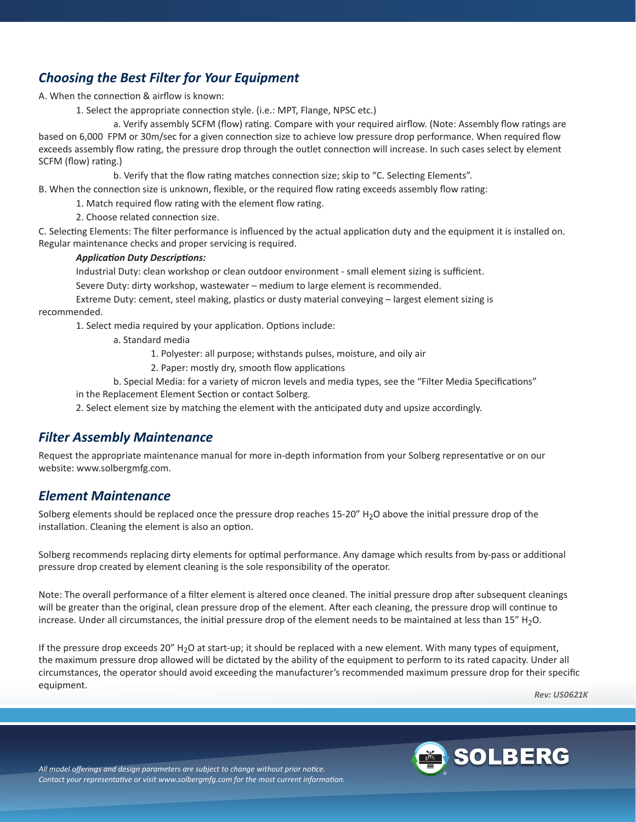## *Choosing the Best Filter for Your Equipment*

A. When the connection & airflow is known:

1. Select the appropriate connection style. (i.e.: MPT, Flange, NPSC etc.)

a. Verify assembly SCFM (flow) rating. Compare with your required airflow. (Note: Assembly flow ratings are based on 6,000 FPM or 30m/sec for a given connection size to achieve low pressure drop performance. When required flow exceeds assembly flow rating, the pressure drop through the outlet connection will increase. In such cases select by element SCFM (flow) rating.)

b. Verify that the flow rating matches connection size; skip to "C. Selecting Elements".

B. When the connection size is unknown, flexible, or the required flow rating exceeds assembly flow rating:

1. Match required flow rating with the element flow rating.

2. Choose related connection size.

C. Selecting Elements: The filter performance is influenced by the actual application duty and the equipment it is installed on. Regular maintenance checks and proper servicing is required.

#### *Application Duty Descriptions:*

Industrial Duty: clean workshop or clean outdoor environment ‐ small element sizing is sufficient.

Severe Duty: dirty workshop, wastewater – medium to large element is recommended.

Extreme Duty: cement, steel making, plastics or dusty material conveying – largest element sizing is recommended.

1. Select media required by your application. Options include:

a. Standard media

1. Polyester: all purpose; withstands pulses, moisture, and oily air

- 2. Paper: mostly dry, smooth flow applications
- b. Special Media: for a variety of micron levels and media types, see the "Filter Media Specifications"

in the Replacement Element Section or contact Solberg.

2. Select element size by matching the element with the anticipated duty and upsize accordingly.

### *Filter Assembly Maintenance*

Request the appropriate maintenance manual for more in‐depth information from your Solberg representative or on our website: www.solbergmfg.com.

### *Element Maintenance*

Solberg elements should be replaced once the pressure drop reaches 15-20" H<sub>2</sub>O above the initial pressure drop of the installation. Cleaning the element is also an option.

Solberg recommends replacing dirty elements for optimal performance. Any damage which results from by‐pass or additional pressure drop created by element cleaning is the sole responsibility of the operator.

Note: The overall performance of a filter element is altered once cleaned. The initial pressure drop after subsequent cleanings will be greater than the original, clean pressure drop of the element. After each cleaning, the pressure drop will continue to increase. Under all circumstances, the initial pressure drop of the element needs to be maintained at less than 15" H<sub>2</sub>O.

If the pressure drop exceeds 20" H<sub>2</sub>O at start-up; it should be replaced with a new element. With many types of equipment, the maximum pressure drop allowed will be dictated by the ability of the equipment to perform to its rated capacity. Under all circumstances, the operator should avoid exceeding the manufacturer's recommended maximum pressure drop for their specific equipment.

*Rev: US0621K*



*All model offerings and design parameters are subject to change without prior notice. Contact your representative or visit www.solbergmfg.com for the most current information.*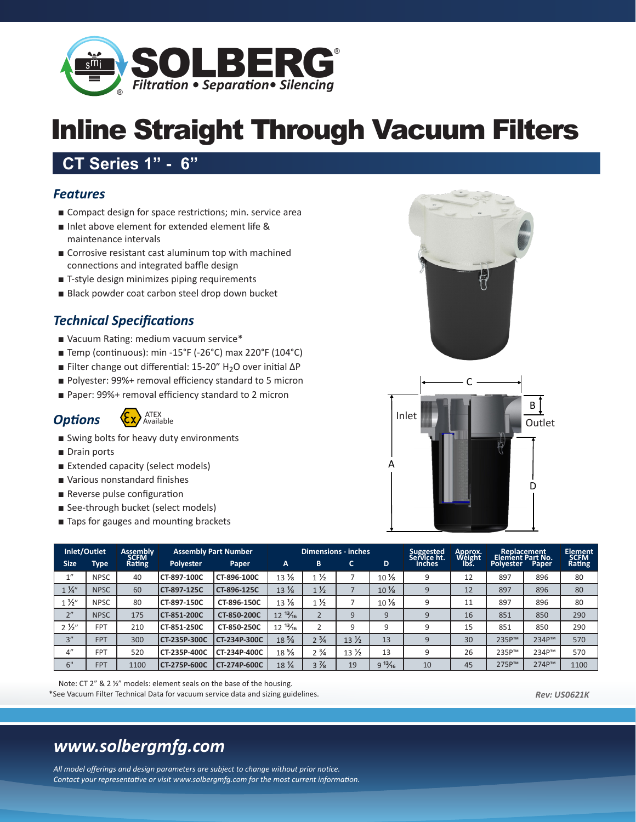

## Inline Straight Through Vacuum Filters

## **CT Series 1" - 6"**

## *Features*

- Compact design for space restrictions; min. service area
- Inlet above element for extended element life & maintenance intervals
- Corrosive resistant cast aluminum top with machined connections and integrated baffle design
- T-style design minimizes piping requirements
- Black powder coat carbon steel drop down bucket

## *Technical Specifications*

- Vacuum Rating: medium vacuum service\*
- Temp (continuous): min -15°F (-26°C) max 220°F (104°C)
- Filter change out differential: 15-20" H<sub>2</sub>O over initial ΔP
- Polyester: 99%+ removal efficiency standard to 5 micron
- Paper: 99%+ removal efficiency standard to 2 micron





- Swing bolts for heavy duty environments
- Drain ports
- Extended capacity (select models)
- Various nonstandard finishes
- Reverse pulse configuration
- See-through bucket (select models)
- Taps for gauges and mounting brackets



Note: CT 2" & 2 1/2" models: element seals on the base of the housing. \*See Vacuum Filter Technical Data for vacuum service data and sizing guidelines.

*Rev: US0621K*

## *www.solbergmfg.com*

*All model offerings and design parameters are subject to change without prior notice. Contact your representative or visit www.solbergmfg.com for the most current information.*